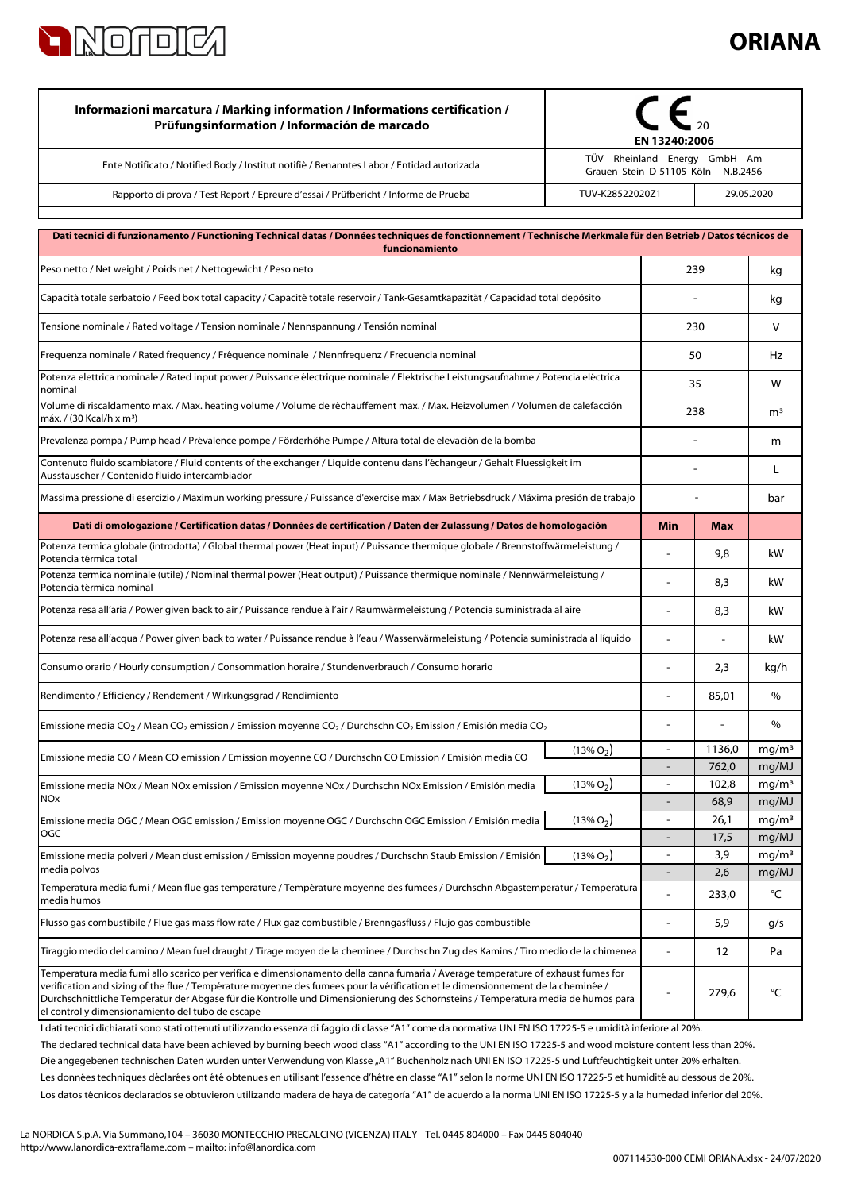

# **ORIANA**

| Informazioni marcatura / Marking information / Informations certification /<br>Prüfungsinformation / Información de marcado                                                                                                                                                                                                                                                                                                                                   | N 13240:2006<br>TÜV Rheinland Energy GmbH Am |                                            |                |                            |
|---------------------------------------------------------------------------------------------------------------------------------------------------------------------------------------------------------------------------------------------------------------------------------------------------------------------------------------------------------------------------------------------------------------------------------------------------------------|----------------------------------------------|--------------------------------------------|----------------|----------------------------|
| Ente Notificato / Notified Body / Institut notifiè / Benanntes Labor / Entidad autorizada                                                                                                                                                                                                                                                                                                                                                                     | Grauen Stein D-51105 Köln - N.B.2456         |                                            |                |                            |
| Rapporto di prova / Test Report / Epreure d'essai / Prüfbericht / Informe de Prueba                                                                                                                                                                                                                                                                                                                                                                           | TUV-K28522020Z1                              | 29.05.2020                                 |                |                            |
| Dati tecnici di funzionamento / Functioning Technical datas / Données techniques de fonctionnement / Technische Merkmale für den Betrieb / Datos técnicos de                                                                                                                                                                                                                                                                                                  |                                              |                                            |                |                            |
| funcionamiento                                                                                                                                                                                                                                                                                                                                                                                                                                                |                                              |                                            |                |                            |
| Peso netto / Net weight / Poids net / Nettogewicht / Peso neto                                                                                                                                                                                                                                                                                                                                                                                                |                                              | 239                                        |                | kg                         |
| Capacità totale serbatoio / Feed box total capacity / Capacité totale reservoir / Tank-Gesamtkapazität / Capacidad total depósito                                                                                                                                                                                                                                                                                                                             |                                              |                                            |                | kg                         |
| Tensione nominale / Rated voltage / Tension nominale / Nennspannung / Tensión nominal                                                                                                                                                                                                                                                                                                                                                                         |                                              | 230                                        |                | V                          |
| Frequenza nominale / Rated frequency / Fréquence nominale / Nennfrequenz / Frecuencia nominal                                                                                                                                                                                                                                                                                                                                                                 |                                              | 50                                         |                | Hz                         |
| Potenza elettrica nominale / Rated input power / Puissance électrique nominale / Elektrische Leistungsaufnahme / Potencia eléctrica<br>nominal                                                                                                                                                                                                                                                                                                                |                                              | 35                                         |                | w                          |
| Volume di riscaldamento max. / Max. heating volume / Volume de réchauffement max. / Max. Heizvolumen / Volumen de calefacción<br>máx. / (30 Kcal/h x m <sup>3</sup> )                                                                                                                                                                                                                                                                                         |                                              | 238                                        |                | m <sup>3</sup>             |
| Prevalenza pompa / Pump head / Prévalence pompe / Förderhöhe Pumpe / Altura total de elevaciòn de la bomba                                                                                                                                                                                                                                                                                                                                                    |                                              |                                            |                | m                          |
| Contenuto fluido scambiatore / Fluid contents of the exchanger / Liquide contenu dans l'échangeur / Gehalt Fluessigkeit im<br>Ausstauscher / Contenido fluido intercambiador                                                                                                                                                                                                                                                                                  |                                              |                                            |                | L                          |
| Massima pressione di esercizio / Maximun working pressure / Puissance d'exercise max / Max Betriebsdruck / Máxima presión de trabajo                                                                                                                                                                                                                                                                                                                          |                                              |                                            |                | bar                        |
| Dati di omologazione / Certification datas / Données de certification / Daten der Zulassung / Datos de homologación                                                                                                                                                                                                                                                                                                                                           |                                              | Min                                        | <b>Max</b>     |                            |
| Potenza termica globale (introdotta) / Global thermal power (Heat input) / Puissance thermique globale / Brennstoffwärmeleistung /<br>Potencia térmica total                                                                                                                                                                                                                                                                                                  |                                              |                                            | 9,8            | kW                         |
| Potenza termica nominale (utile) / Nominal thermal power (Heat output) / Puissance thermique nominale / Nennwärmeleistung /<br>Potencia térmica nominal                                                                                                                                                                                                                                                                                                       |                                              | ä,                                         | 8,3            | kW                         |
| Potenza resa all'aria / Power given back to air / Puissance rendue à l'air / Raumwärmeleistung / Potencia suministrada al aire                                                                                                                                                                                                                                                                                                                                |                                              |                                            | 8,3            | kW                         |
| Potenza resa all'acqua / Power given back to water / Puissance rendue à l'eau / Wasserwärmeleistung / Potencia suministrada al líquido                                                                                                                                                                                                                                                                                                                        |                                              | $\overline{a}$                             |                | kW                         |
| Consumo orario / Hourly consumption / Consommation horaire / Stundenverbrauch / Consumo horario                                                                                                                                                                                                                                                                                                                                                               |                                              | ä,                                         | 2,3            | kg/h                       |
| Rendimento / Efficiency / Rendement / Wirkungsgrad / Rendimiento                                                                                                                                                                                                                                                                                                                                                                                              |                                              |                                            | 85,01          | %                          |
| Emissione media CO <sub>2</sub> / Mean CO <sub>2</sub> emission / Emission moyenne CO <sub>2</sub> / Durchschn CO <sub>2</sub> Emission / Emisión media CO <sub>2</sub>                                                                                                                                                                                                                                                                                       |                                              | $\overline{a}$                             | $\overline{a}$ | $\%$                       |
| Emissione media CO / Mean CO emission / Emission moyenne CO / Durchschn CO Emission / Emisión media CO                                                                                                                                                                                                                                                                                                                                                        | $(13\% O_2)$                                 | $\overline{\phantom{a}}$                   | 1136,0         | mg/m <sup>3</sup>          |
|                                                                                                                                                                                                                                                                                                                                                                                                                                                               |                                              | $\overline{\phantom{a}}$                   | 762,0          | mg/MJ                      |
| Emissione media NOx / Mean NOx emission / Emission moyenne NOx / Durchschn NOx Emission / Emisión media<br><b>NOx</b>                                                                                                                                                                                                                                                                                                                                         | $(13\% O_2)$                                 | $\overline{\phantom{a}}$<br>$\overline{a}$ | 102,8<br>68,9  | mg/m <sup>3</sup><br>mg/MJ |
| Emissione media OGC / Mean OGC emission / Emission moyenne OGC / Durchschn OGC Emission / Emisión media                                                                                                                                                                                                                                                                                                                                                       | $(13\% O2)$                                  | $\overline{a}$                             | 26,1           | mg/m <sup>3</sup>          |
| OGC                                                                                                                                                                                                                                                                                                                                                                                                                                                           |                                              | $\overline{a}$                             | 17,5           | mg/MJ                      |
| Emissione media polveri / Mean dust emission / Emission moyenne poudres / Durchschn Staub Emission / Emisión                                                                                                                                                                                                                                                                                                                                                  | $(13\% O2)$                                  | $\overline{\phantom{a}}$                   | 3,9            | mg/m <sup>3</sup>          |
| media polvos<br>Temperatura media fumi / Mean flue gas temperature / Température moyenne des fumees / Durchschn Abgastemperatur / Temperatura                                                                                                                                                                                                                                                                                                                 |                                              | -                                          | 2,6            | mg/MJ                      |
| media humos                                                                                                                                                                                                                                                                                                                                                                                                                                                   |                                              | Ē,                                         | 233,0          | °C                         |
| Flusso gas combustibile / Flue gas mass flow rate / Flux gaz combustible / Brenngasfluss / Flujo gas combustible                                                                                                                                                                                                                                                                                                                                              |                                              |                                            | 5,9            | g/s                        |
| Tiraggio medio del camino / Mean fuel draught / Tirage moyen de la cheminee / Durchschn Zug des Kamins / Tiro medio de la chimenea                                                                                                                                                                                                                                                                                                                            |                                              |                                            | 12             | Pa                         |
| Temperatura media fumi allo scarico per verifica e dimensionamento della canna fumaria / Average temperature of exhaust fumes for<br>verification and sizing of the flue / Température moyenne des fumees pour la vérification et le dimensionnement de la cheminée /<br>Durchschnittliche Temperatur der Abgase für die Kontrolle und Dimensionierung des Schornsteins / Temperatura media de humos para<br>el control y dimensionamiento del tubo de escape |                                              |                                            | 279,6          | °C                         |

Los datos técnicos declarados se obtuvieron utilizando madera de haya de categoría "A1" de acuerdo a la norma UNI EN ISO 17225-5 y a la humedad inferior del 20%. Les données techniques déclarées ont été obtenues en utilisant l'essence d'hêtre en classe "A1" selon la norme UNI EN ISO 17225-5 et humidité au dessous de 20%. I dati tecnici dichiarati sono stati ottenuti utilizzando essenza di faggio di classe "A1" come da normativa UNI EN ISO 17225-5 e umidità inferiore al 20%. Die angegebenen technischen Daten wurden unter Verwendung von Klasse "A1" Buchenholz nach UNI EN ISO 17225-5 und Luftfeuchtigkeit unter 20% erhalten. The declared technical data have been achieved by burning beech wood class "A1" according to the UNI EN ISO 17225-5 and wood moisture content less than 20%.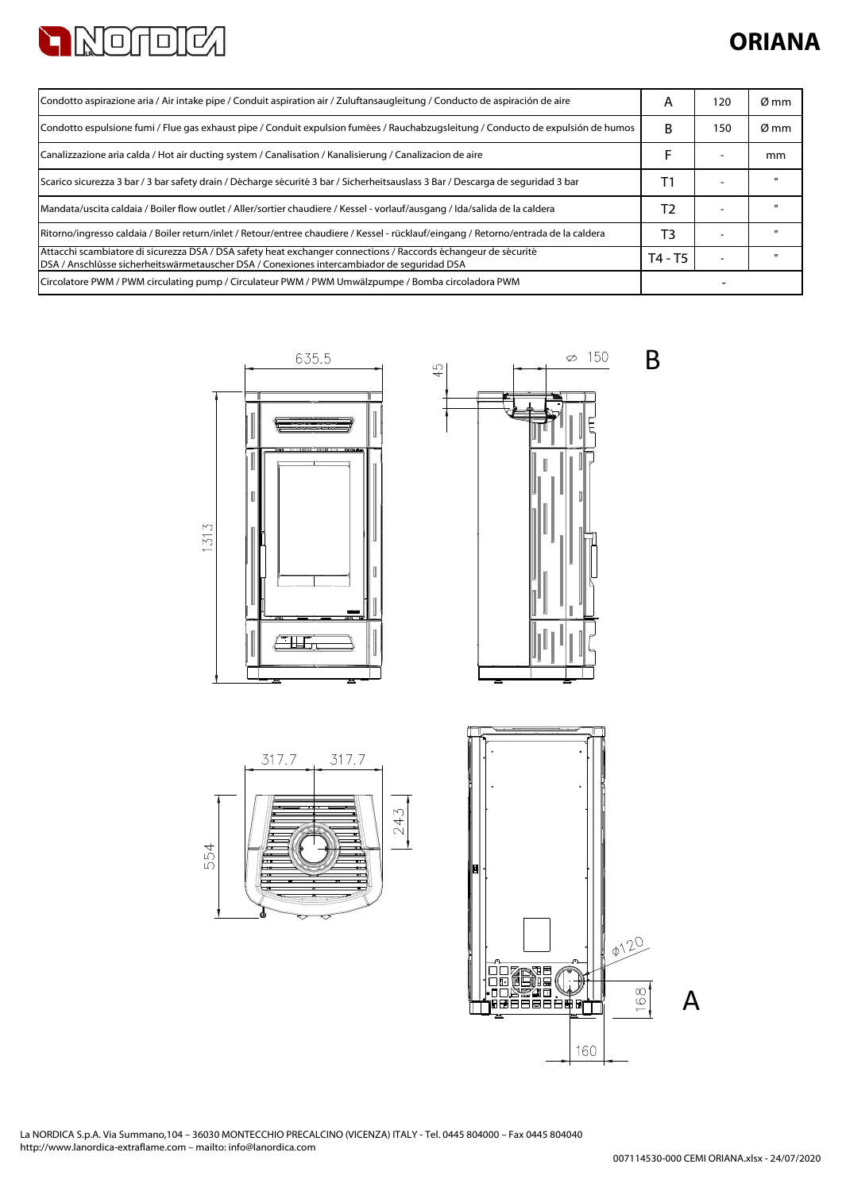

# **ORIANA**

| Condotto aspirazione aria / Air intake pipe / Conduit aspiration air / Zuluftansaugleitung / Conducto de aspiración de aire                                                                                  |         | 120 | Ø mm |
|--------------------------------------------------------------------------------------------------------------------------------------------------------------------------------------------------------------|---------|-----|------|
| Condotto espulsione fumi / Flue gas exhaust pipe / Conduit expulsion fumées / Rauchabzugsleitung / Conducto de expulsión de humos                                                                            | в       | 150 | Ø mm |
| Canalizzazione aria calda / Hot air ducting system / Canalisation / Kanalisierung / Canalizacion de aire                                                                                                     |         |     | mm   |
| Scarico sicurezza 3 bar / 3 bar safety drain / Décharge sécurité 3 bar / Sicherheitsauslass 3 Bar / Descarga de seguridad 3 bar                                                                              | Τ1      |     |      |
| Mandata/uscita caldaia / Boiler flow outlet / Aller/sortier chaudiere / Kessel - vorlauf/ausgang / Ida/salida de la caldera                                                                                  | Т2      |     |      |
| Ritorno/ingresso caldaia / Boiler return/inlet / Retour/entree chaudiere / Kessel - rücklauf/eingang / Retorno/entrada de la caldera                                                                         | T3      |     |      |
| Attacchi scambiatore di sicurezza DSA / DSA safety heat exchanger connections / Raccords échangeur de sécurité<br>DSA / Anschlûsse sicherheitswärmetauscher DSA / Conexiones intercambiador de seguridad DSA | T4 - T5 |     |      |
| Circolatore PWM / PWM circulating pump / Circulateur PWM / PWM Umwälzpumpe / Bomba circoladora PWM                                                                                                           |         |     |      |



La NORDICA S.p.A. Via Summano,104 – 36030 MONTECCHIO PRECALCINO (VICENZA) ITALY - Tel. 0445 804000 – Fax 0445 804040 http://www.lanordica-extraflame.com – mailto: info@lanordica.com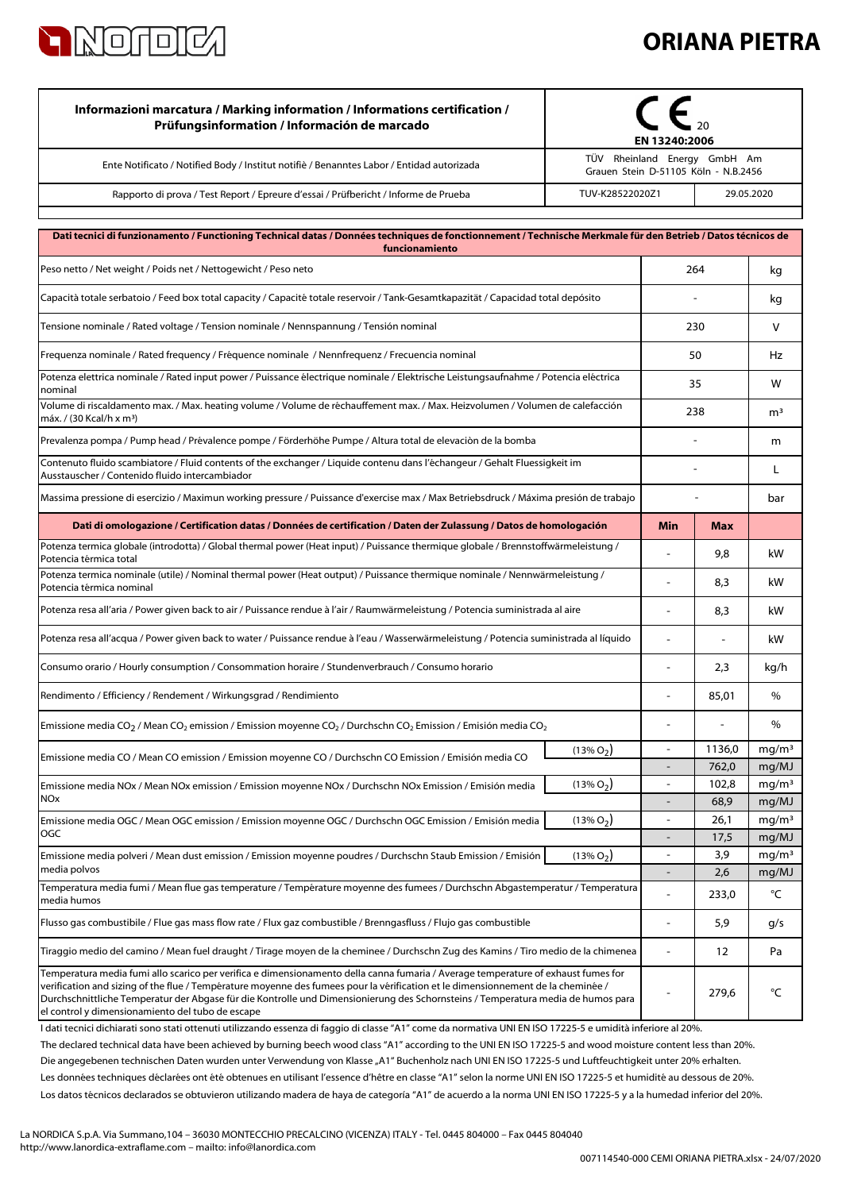

# **ORIANA PIETRA**

| Informazioni marcatura / Marking information / Informations certification /<br>Prüfungsinformation / Información de marcado                                                                                                                                                                                                                                                                                                                                   | EN 13240:2006                                                        |                          |                          |                            |  |
|---------------------------------------------------------------------------------------------------------------------------------------------------------------------------------------------------------------------------------------------------------------------------------------------------------------------------------------------------------------------------------------------------------------------------------------------------------------|----------------------------------------------------------------------|--------------------------|--------------------------|----------------------------|--|
| Ente Notificato / Notified Body / Institut notifiè / Benanntes Labor / Entidad autorizada                                                                                                                                                                                                                                                                                                                                                                     | TÜV Rheinland Energy GmbH Am<br>Grauen Stein D-51105 Köln - N.B.2456 |                          |                          |                            |  |
| Rapporto di prova / Test Report / Epreure d'essai / Prüfbericht / Informe de Prueba                                                                                                                                                                                                                                                                                                                                                                           | TUV-K28522020Z1                                                      |                          |                          | 29.05.2020                 |  |
| Dati tecnici di funzionamento / Functioning Technical datas / Données techniques de fonctionnement / Technische Merkmale für den Betrieb / Datos técnicos de<br>funcionamiento                                                                                                                                                                                                                                                                                |                                                                      |                          |                          |                            |  |
| Peso netto / Net weight / Poids net / Nettogewicht / Peso neto                                                                                                                                                                                                                                                                                                                                                                                                |                                                                      |                          | 264                      | kg                         |  |
| Capacità totale serbatoio / Feed box total capacity / Capacité totale reservoir / Tank-Gesamtkapazität / Capacidad total depósito                                                                                                                                                                                                                                                                                                                             |                                                                      |                          |                          | kg                         |  |
| Tensione nominale / Rated voltage / Tension nominale / Nennspannung / Tensión nominal                                                                                                                                                                                                                                                                                                                                                                         |                                                                      | 230                      |                          | V                          |  |
| Frequenza nominale / Rated frequency / Fréquence nominale / Nennfrequenz / Frecuencia nominal                                                                                                                                                                                                                                                                                                                                                                 |                                                                      |                          | 50                       | Hz                         |  |
| Potenza elettrica nominale / Rated input power / Puissance électrique nominale / Elektrische Leistungsaufnahme / Potencia eléctrica<br>nominal                                                                                                                                                                                                                                                                                                                |                                                                      |                          | 35                       | W                          |  |
| Volume di riscaldamento max. / Max. heating volume / Volume de réchauffement max. / Max. Heizvolumen / Volumen de calefacción<br>máx. / (30 Kcal/h x m <sup>3</sup> )                                                                                                                                                                                                                                                                                         |                                                                      |                          | 238                      | m <sup>3</sup>             |  |
| Prevalenza pompa / Pump head / Prévalence pompe / Förderhöhe Pumpe / Altura total de elevaciòn de la bomba                                                                                                                                                                                                                                                                                                                                                    |                                                                      |                          |                          | m                          |  |
| Contenuto fluido scambiatore / Fluid contents of the exchanger / Liquide contenu dans l'échangeur / Gehalt Fluessigkeit im<br>Ausstauscher / Contenido fluido intercambiador                                                                                                                                                                                                                                                                                  |                                                                      |                          |                          | L                          |  |
| Massima pressione di esercizio / Maximun working pressure / Puissance d'exercise max / Max Betriebsdruck / Máxima presión de trabajo                                                                                                                                                                                                                                                                                                                          |                                                                      |                          |                          | bar                        |  |
| Dati di omologazione / Certification datas / Données de certification / Daten der Zulassung / Datos de homologación                                                                                                                                                                                                                                                                                                                                           |                                                                      | Min                      | <b>Max</b>               |                            |  |
| Potenza termica globale (introdotta) / Global thermal power (Heat input) / Puissance thermique globale / Brennstoffwärmeleistung /<br>Potencia térmica total                                                                                                                                                                                                                                                                                                  |                                                                      | $\overline{\phantom{a}}$ | 9,8                      | kW                         |  |
| Potenza termica nominale (utile) / Nominal thermal power (Heat output) / Puissance thermique nominale / Nennwärmeleistung /<br>Potencia térmica nominal                                                                                                                                                                                                                                                                                                       |                                                                      |                          | 8,3                      | kW                         |  |
| Potenza resa all'aria / Power given back to air / Puissance rendue à l'air / Raumwärmeleistung / Potencia suministrada al aire                                                                                                                                                                                                                                                                                                                                |                                                                      |                          | 8,3                      | kW                         |  |
| Potenza resa all'acqua / Power given back to water / Puissance rendue à l'eau / Wasserwärmeleistung / Potencia suministrada al líquido                                                                                                                                                                                                                                                                                                                        |                                                                      |                          | $\overline{\phantom{a}}$ | kW                         |  |
| Consumo orario / Hourly consumption / Consommation horaire / Stundenverbrauch / Consumo horario                                                                                                                                                                                                                                                                                                                                                               |                                                                      |                          | 2,3                      | kg/h                       |  |
| Rendimento / Efficiency / Rendement / Wirkungsgrad / Rendimiento                                                                                                                                                                                                                                                                                                                                                                                              |                                                                      |                          | 85,01                    | $\%$                       |  |
| Emissione media CO <sub>2</sub> / Mean CO <sub>2</sub> emission / Emission moyenne CO <sub>2</sub> / Durchschn CO <sub>2</sub> Emission / Emisión media CO <sub>2</sub>                                                                                                                                                                                                                                                                                       |                                                                      |                          |                          | %                          |  |
| Emissione media CO / Mean CO emission / Emission moyenne CO / Durchschn CO Emission / Emisión media CO                                                                                                                                                                                                                                                                                                                                                        | $(13\% O_2)$                                                         | $\overline{\phantom{a}}$ | 1136,0<br>762,0          | mg/m <sup>3</sup><br>mg/MJ |  |
| Emissione media NOx / Mean NOx emission / Emission moyenne NOx / Durchschn NOx Emission / Emisión media                                                                                                                                                                                                                                                                                                                                                       | $(13\% O_2)$                                                         | $\blacksquare$           | 102,8                    | mg/m <sup>3</sup>          |  |
| <b>NOx</b>                                                                                                                                                                                                                                                                                                                                                                                                                                                    |                                                                      |                          | 68,9                     | mg/MJ                      |  |
| Emissione media OGC / Mean OGC emission / Emission moyenne OGC / Durchschn OGC Emission / Emisión media<br>OGC                                                                                                                                                                                                                                                                                                                                                | $(13\% O2)$                                                          |                          | 26,1<br>17,5             | mg/m <sup>3</sup><br>mg/MJ |  |
| Emissione media polveri / Mean dust emission / Emission moyenne poudres / Durchschn Staub Emission / Emisión                                                                                                                                                                                                                                                                                                                                                  | $(13\% O_2)$                                                         |                          | 3,9                      | mg/m <sup>3</sup>          |  |
| media polvos                                                                                                                                                                                                                                                                                                                                                                                                                                                  |                                                                      |                          | 2,6                      | mg/MJ                      |  |
| Temperatura media fumi / Mean flue gas temperature / Température moyenne des fumees / Durchschn Abgastemperatur / Temperatura<br>media humos                                                                                                                                                                                                                                                                                                                  |                                                                      | $\blacksquare$           | 233,0                    | °C                         |  |
| Flusso gas combustibile / Flue gas mass flow rate / Flux gaz combustible / Brenngasfluss / Flujo gas combustible                                                                                                                                                                                                                                                                                                                                              |                                                                      |                          | 5,9                      | g/s                        |  |
| Tiraggio medio del camino / Mean fuel draught / Tirage moyen de la cheminee / Durchschn Zug des Kamins / Tiro medio de la chimenea                                                                                                                                                                                                                                                                                                                            |                                                                      |                          | 12                       | Pa                         |  |
| Temperatura media fumi allo scarico per verifica e dimensionamento della canna fumaria / Average temperature of exhaust fumes for<br>verification and sizing of the flue / Température moyenne des fumees pour la vérification et le dimensionnement de la cheminée /<br>Durchschnittliche Temperatur der Abgase für die Kontrolle und Dimensionierung des Schornsteins / Temperatura media de humos para<br>el control y dimensionamiento del tubo de escape |                                                                      | 1200                     | 279,6                    | °C                         |  |

Los datos técnicos declarados se obtuvieron utilizando madera de haya de categoría "A1" de acuerdo a la norma UNI EN ISO 17225-5 y a la humedad inferior del 20%. Les données techniques déclarées ont été obtenues en utilisant l'essence d'hêtre en classe "A1" selon la norme UNI EN ISO 17225-5 et humidité au dessous de 20%. I dati tecnici dichiarati sono stati ottenuti utilizzando essenza di faggio di classe "A1" come da normativa UNI EN ISO 17225-5 e umidità inferiore al 20%. Die angegebenen technischen Daten wurden unter Verwendung von Klasse "A1" Buchenholz nach UNI EN ISO 17225-5 und Luftfeuchtigkeit unter 20% erhalten. The declared technical data have been achieved by burning beech wood class "A1" according to the UNI EN ISO 17225-5 and wood moisture content less than 20%.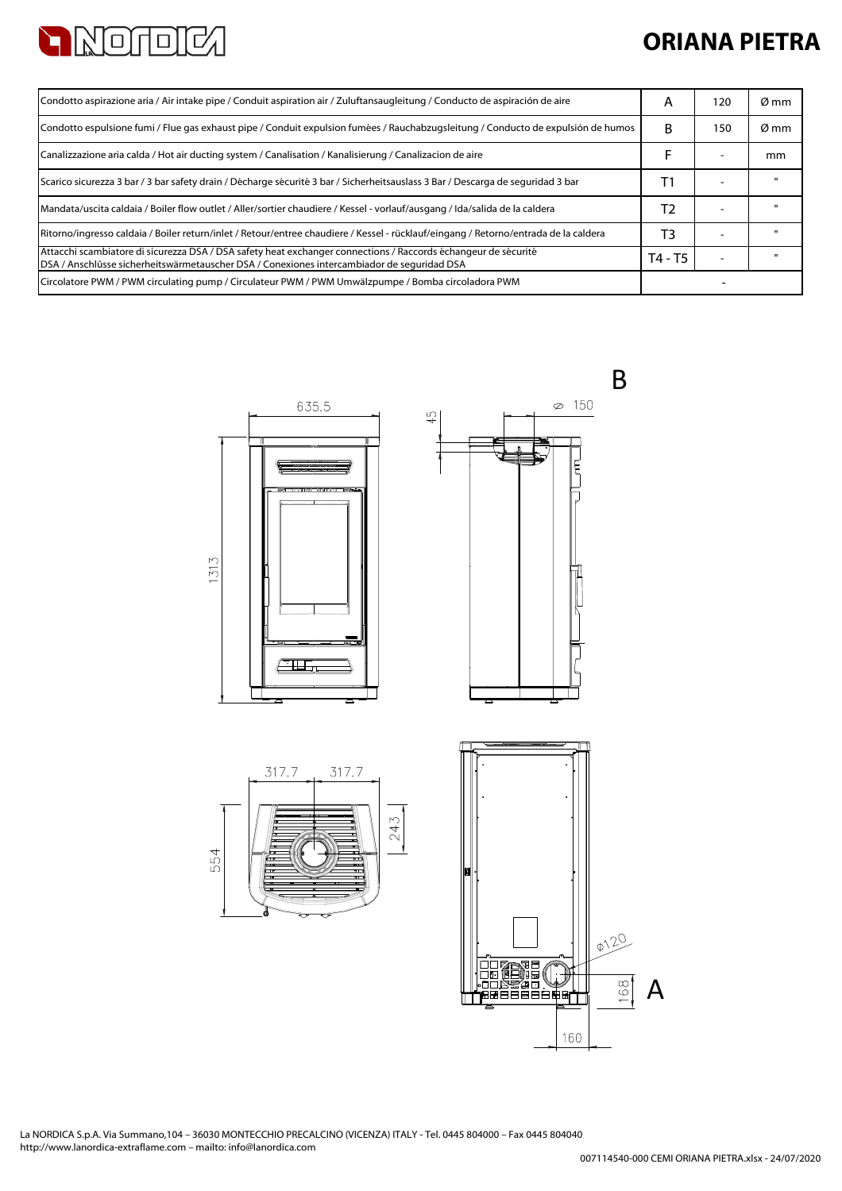

## **ORIANA PIETRA**

| Condotto aspirazione aria / Air intake pipe / Conduit aspiration air / Zuluftansaugleitung / Conducto de aspiración de aire                                                                                  |         | 120 | Ø mm         |
|--------------------------------------------------------------------------------------------------------------------------------------------------------------------------------------------------------------|---------|-----|--------------|
| Condotto espulsione fumi / Flue gas exhaust pipe / Conduit expulsion fumées / Rauchabzugsleitung / Conducto de expulsión de humos                                                                            | B       | 150 | Ø mm         |
| Canalizzazione aria calda / Hot air ducting system / Canalisation / Kanalisierung / Canalizacion de aire                                                                                                     | F       |     | mm           |
| Scarico sicurezza 3 bar / 3 bar safety drain / Décharge sécurité 3 bar / Sicherheitsauslass 3 Bar / Descarga de sequridad 3 bar                                                                              | T1      |     | $\mathbf{u}$ |
| Mandata/uscita caldaia / Boiler flow outlet / Aller/sortier chaudiere / Kessel - vorlauf/ausgang / Ida/salida de la caldera                                                                                  | T2      |     |              |
| Ritorno/ingresso caldaia / Boiler return/inlet / Retour/entree chaudiere / Kessel - rücklauf/eingang / Retorno/entrada de la caldera                                                                         | T3      |     |              |
| Attacchi scambiatore di sicurezza DSA / DSA safety heat exchanger connections / Raccords échangeur de sécurité<br>DSA / Anschlûsse sicherheitswärmetauscher DSA / Conexiones intercambiador de seguridad DSA | T4 - T5 |     | $\mathbf{u}$ |
| Circolatore PWM / PWM circulating pump / Circulateur PWM / PWM Umwälzpumpe / Bomba circoladora PWM                                                                                                           |         |     |              |

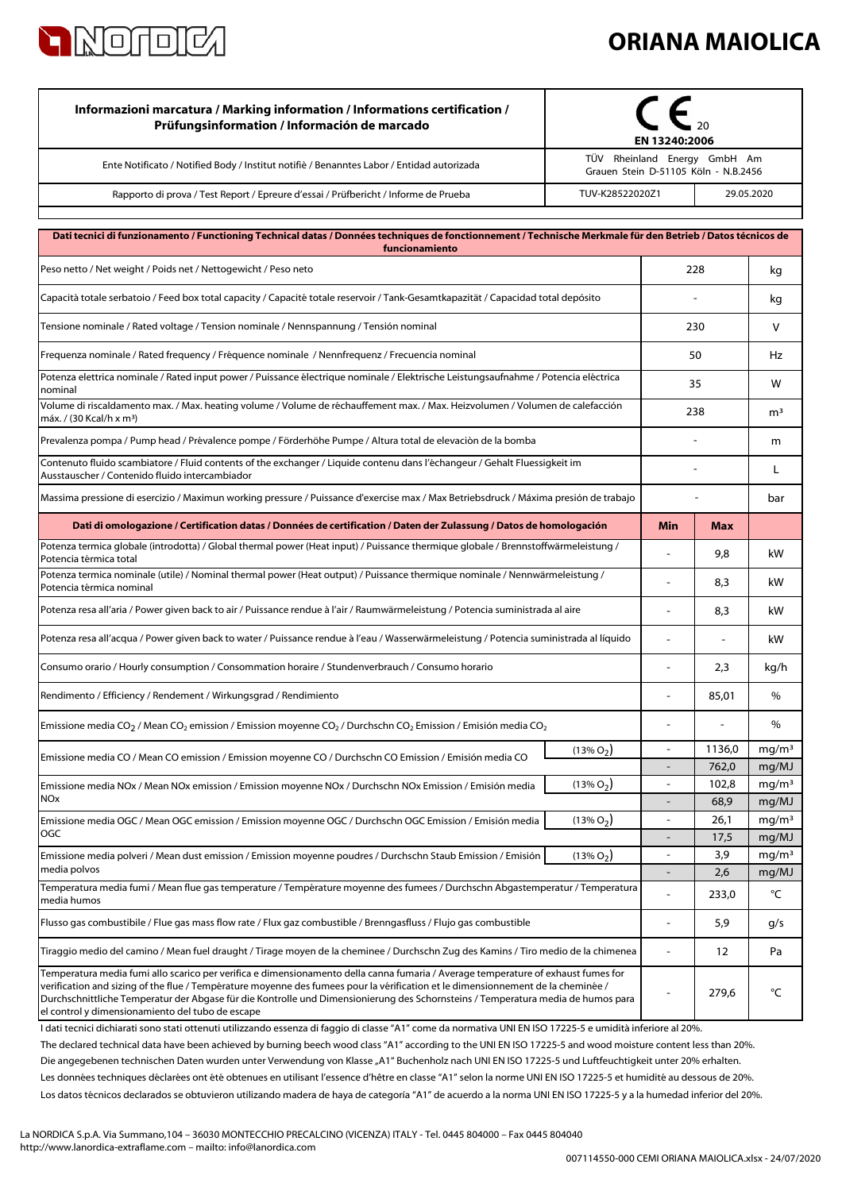

## **ORIANA MAIOLICA**

| Informazioni marcatura / Marking information / Informations certification /<br>Prüfungsinformation / Información de marcado                                                                                                                                                                                                                                                                                                                                   | EN 13240:2006   |                                                                      |                 |                            |
|---------------------------------------------------------------------------------------------------------------------------------------------------------------------------------------------------------------------------------------------------------------------------------------------------------------------------------------------------------------------------------------------------------------------------------------------------------------|-----------------|----------------------------------------------------------------------|-----------------|----------------------------|
| Ente Notificato / Notified Body / Institut notifiè / Benanntes Labor / Entidad autorizada                                                                                                                                                                                                                                                                                                                                                                     |                 | TÜV Rheinland Energy GmbH Am<br>Grauen Stein D-51105 Köln - N.B.2456 |                 |                            |
| Rapporto di prova / Test Report / Epreure d'essai / Prüfbericht / Informe de Prueba                                                                                                                                                                                                                                                                                                                                                                           | TUV-K28522020Z1 |                                                                      | 29.05.2020      |                            |
| Dati tecnici di funzionamento / Functioning Technical datas / Données techniques de fonctionnement / Technische Merkmale für den Betrieb / Datos técnicos de<br>funcionamiento                                                                                                                                                                                                                                                                                |                 |                                                                      |                 |                            |
| Peso netto / Net weight / Poids net / Nettogewicht / Peso neto                                                                                                                                                                                                                                                                                                                                                                                                |                 |                                                                      | 228<br>kg       |                            |
| Capacità totale serbatoio / Feed box total capacity / Capacité totale reservoir / Tank-Gesamtkapazität / Capacidad total depósito                                                                                                                                                                                                                                                                                                                             |                 |                                                                      |                 | kg                         |
| Tensione nominale / Rated voltage / Tension nominale / Nennspannung / Tensión nominal                                                                                                                                                                                                                                                                                                                                                                         |                 | 230                                                                  |                 | v                          |
| Frequenza nominale / Rated frequency / Fréquence nominale / Nennfrequenz / Frecuencia nominal                                                                                                                                                                                                                                                                                                                                                                 |                 |                                                                      | 50              | Hz                         |
| Potenza elettrica nominale / Rated input power / Puissance électrique nominale / Elektrische Leistungsaufnahme / Potencia eléctrica<br>nominal                                                                                                                                                                                                                                                                                                                |                 |                                                                      | 35              | w                          |
| Volume di riscaldamento max. / Max. heating volume / Volume de réchauffement max. / Max. Heizvolumen / Volumen de calefacción<br>máx. / (30 Kcal/h x m <sup>3</sup> )                                                                                                                                                                                                                                                                                         |                 |                                                                      | 238             | m <sup>3</sup>             |
| Prevalenza pompa / Pump head / Prévalence pompe / Förderhöhe Pumpe / Altura total de elevaciòn de la bomba                                                                                                                                                                                                                                                                                                                                                    |                 |                                                                      |                 | m                          |
| Contenuto fluido scambiatore / Fluid contents of the exchanger / Liquide contenu dans l'échangeur / Gehalt Fluessigkeit im<br>Ausstauscher / Contenido fluido intercambiador                                                                                                                                                                                                                                                                                  |                 |                                                                      |                 | L                          |
| Massima pressione di esercizio / Maximun working pressure / Puissance d'exercise max / Max Betriebsdruck / Máxima presión de trabajo                                                                                                                                                                                                                                                                                                                          |                 |                                                                      |                 | bar                        |
| Dati di omologazione / Certification datas / Données de certification / Daten der Zulassung / Datos de homologación                                                                                                                                                                                                                                                                                                                                           |                 | Min                                                                  | Max             |                            |
| Potenza termica globale (introdotta) / Global thermal power (Heat input) / Puissance thermique globale / Brennstoffwärmeleistung /<br>Potencia térmica total                                                                                                                                                                                                                                                                                                  |                 |                                                                      | 9,8             | kW                         |
| Potenza termica nominale (utile) / Nominal thermal power (Heat output) / Puissance thermique nominale / Nennwärmeleistung /<br>Potencia térmica nominal                                                                                                                                                                                                                                                                                                       |                 |                                                                      | 8,3             | kW                         |
| Potenza resa all'aria / Power given back to air / Puissance rendue à l'air / Raumwärmeleistung / Potencia suministrada al aire                                                                                                                                                                                                                                                                                                                                |                 | $\blacksquare$                                                       | 8,3             | kW                         |
| Potenza resa all'acqua / Power given back to water / Puissance rendue à l'eau / Wasserwärmeleistung / Potencia suministrada al líquido                                                                                                                                                                                                                                                                                                                        |                 |                                                                      |                 | kW                         |
| Consumo orario / Hourly consumption / Consommation horaire / Stundenverbrauch / Consumo horario                                                                                                                                                                                                                                                                                                                                                               |                 |                                                                      | 2,3             | kg/h                       |
| Rendimento / Efficiency / Rendement / Wirkungsgrad / Rendimiento                                                                                                                                                                                                                                                                                                                                                                                              |                 |                                                                      | 85,01           | %                          |
| Emissione media CO <sub>2</sub> / Mean CO <sub>2</sub> emission / Emission moyenne CO <sub>2</sub> / Durchschn CO <sub>2</sub> Emission / Emisión media CO <sub>2</sub>                                                                                                                                                                                                                                                                                       |                 |                                                                      |                 | %                          |
| Emissione media CO / Mean CO emission / Emission moyenne CO / Durchschn CO Emission / Emisión media CO                                                                                                                                                                                                                                                                                                                                                        | $(13\% O2)$     | $\qquad \qquad \blacksquare$<br>$\overline{\phantom{a}}$             | 1136,0<br>762,0 | mg/m <sup>3</sup><br>mg/MJ |
| Emissione media NOx / Mean NOx emission / Emission moyenne NOx / Durchschn NOx Emission / Emisión media                                                                                                                                                                                                                                                                                                                                                       | $(13\% O_2)$    | $\blacksquare$                                                       | 102,8           | mg/m <sup>3</sup>          |
| <b>NOx</b>                                                                                                                                                                                                                                                                                                                                                                                                                                                    |                 |                                                                      | 68,9            | mg/MJ                      |
| Emissione media OGC / Mean OGC emission / Emission moyenne OGC / Durchschn OGC Emission / Emisión media<br><b>OGC</b>                                                                                                                                                                                                                                                                                                                                         | $(13\% O_2)$    | $\overline{\phantom{a}}$                                             | 26,1<br>17,5    | mg/m <sup>3</sup><br>mg/MJ |
| Emissione media polveri / Mean dust emission / Emission moyenne poudres / Durchschn Staub Emission / Emisión                                                                                                                                                                                                                                                                                                                                                  | $(13\% O2)$     | $\qquad \qquad \blacksquare$                                         | 3,9             | mg/m <sup>3</sup>          |
| media polvos                                                                                                                                                                                                                                                                                                                                                                                                                                                  |                 | $\overline{\phantom{a}}$                                             | 2,6             | mg/MJ                      |
| Temperatura media fumi / Mean flue gas temperature / Température moyenne des fumees / Durchschn Abgastemperatur / Temperatura<br>media humos                                                                                                                                                                                                                                                                                                                  |                 |                                                                      | 233,0           | °C                         |
| Flusso gas combustibile / Flue gas mass flow rate / Flux gaz combustible / Brenngasfluss / Flujo gas combustible                                                                                                                                                                                                                                                                                                                                              |                 | $\overline{a}$                                                       | 5,9             | g/s                        |
| Tiraggio medio del camino / Mean fuel draught / Tirage moyen de la cheminee / Durchschn Zug des Kamins / Tiro medio de la chimenea                                                                                                                                                                                                                                                                                                                            |                 |                                                                      | 12              | Pa                         |
| Temperatura media fumi allo scarico per verifica e dimensionamento della canna fumaria / Average temperature of exhaust fumes for<br>verification and sizing of the flue / Température moyenne des fumees pour la vérification et le dimensionnement de la cheminée /<br>Durchschnittliche Temperatur der Abgase für die Kontrolle und Dimensionierung des Schornsteins / Temperatura media de humos para<br>el control y dimensionamiento del tubo de escape |                 |                                                                      | 279,6           | °C                         |

Los datos técnicos declarados se obtuvieron utilizando madera de haya de categoría "A1" de acuerdo a la norma UNI EN ISO 17225-5 y a la humedad inferior del 20%. Les données techniques déclarées ont été obtenues en utilisant l'essence d'hêtre en classe "A1" selon la norme UNI EN ISO 17225-5 et humidité au dessous de 20%. I dati tecnici dichiarati sono stati ottenuti utilizzando essenza di faggio di classe "A1" come da normativa UNI EN ISO 17225-5 e umidità inferiore al 20%. Die angegebenen technischen Daten wurden unter Verwendung von Klasse "A1" Buchenholz nach UNI EN ISO 17225-5 und Luftfeuchtigkeit unter 20% erhalten. The declared technical data have been achieved by burning beech wood class "A1" according to the UNI EN ISO 17225-5 and wood moisture content less than 20%.